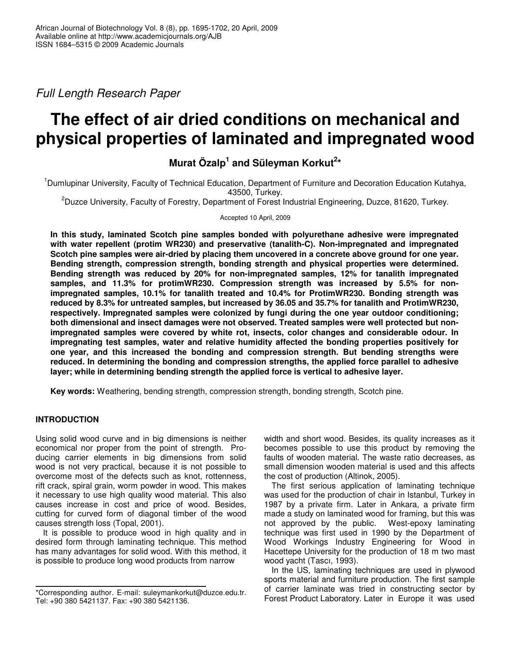*Full Length Research Paper*

# **The effect of air dried conditions on mechanical and physical properties of laminated and impregnated wood**

**Murat Özalp 1 and Süleyman Korkut 2 \***

<sup>1</sup>Dumlupinar University, Faculty of Technical Education, Department of Furniture and Decoration Education Kutahya, 43500, Turkey.

<sup>2</sup>Duzce University, Faculty of Forestry, Department of Forest Industrial Engineering, Duzce, 81620, Turkey.

Accepted 10 April, 2009

**In this study, laminated Scotch pine samples bonded with polyurethane adhesive were impregnated with water repellent (protim WR230) and preservative (tanalith-C). Non-impregnated and impregnated Scotch pine samples were air-dried by placing them uncovered in a concrete above ground for one year. Bending strength, compression strength, bonding strength and physical properties were determined. Bending strength was reduced by 20% for non-impregnated samples, 12% for tanalith impregnated samples, and 11.3% for protimWR230. Compression strength was increased by 5.5% for nonimpregnated samples, 10.1% for tanalith treated and 10.4% for ProtimWR230. Bonding strength was reduced by 8.3% for untreated samples, but increased by 36.05 and 35.7% for tanalith and ProtimWR230, respectively. Impregnated samples were colonized by fungi during the one year outdoor conditioning; both dimensional and insect damages were not observed. Treated samples were well protected but nonimpregnated samples were covered by white rot, insects, color changes and considerable odour. In impregnating test samples, water and relative humidity affected the bonding properties positively for one year, and this increased the bonding and compression strength. But bending strengths were reduced. In determining the bonding and compression strengths, the applied force parallel to adhesive layer; while in determining bending strength the applied force is vertical to adhesive layer.**

**Key words:** Weathering, bending strength, compression strength, bonding strength, Scotch pine.

# **INTRODUCTION**

Using solid wood curve and in big dimensions is neither economical nor proper from the point of strength. Producing carrier elements in big dimensions from solid wood is not very practical, because it is not possible to overcome most of the defects such as knot, rottenness, rift crack, spiral grain, worm powder in wood. This makes it necessary to use high quality wood material. This also causes increase in cost and price of wood. Besides, cutting for curved form of diagonal timber of the wood causes strength loss (Topal, 2001).

It is possible to produce wood in high quality and in desired form through laminating technique. This method has many advantages for solid wood. With this method, it is possible to produce long wood products from narrow

width and short wood. Besides, its quality increases as it becomes possible to use this product by removing the faults of wooden material. The waste ratio decreases, as small dimension wooden material is used and this affects the cost of production (Altinok, 2005).

The first serious application of laminating technique was used for the production of chair in Istanbul, Turkey in 1987 by a private firm. Later in Ankara, a private firm made a study on laminated wood for framing, but this was not approved by the public. West-epoxy laminating technique was first used in 1990 by the Department of Wood Workings Industry Engineering for Wood in Hacettepe University for the production of 18 m two mast wood yacht (Tascı, 1993).

In the US, laminating techniques are used in plywood sports material and furniture production. The first sample of carrier laminate was tried in constructing sector by Forest Product Laboratory. Later in Europe it was used

<sup>\*</sup>Corresponding author*.* E-mail: suleymankorkut@duzce.edu.tr. Tel: +90 380 5421137. Fax: +90 380 5421136.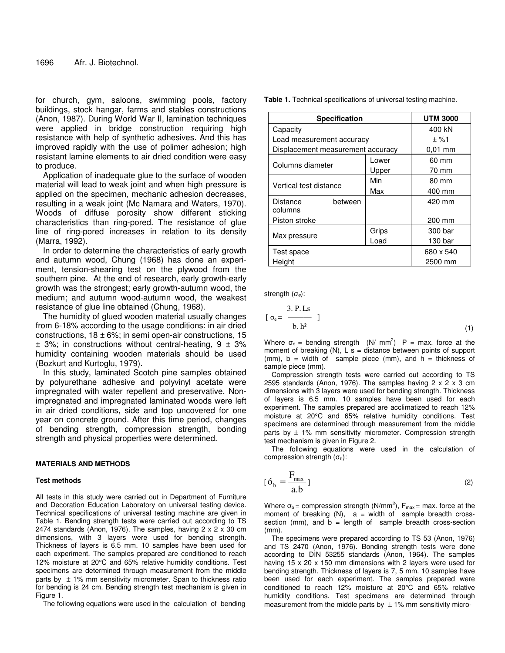for church, gym, saloons, swimming pools, factory buildings, stock hangar, farms and stables constructions (Anon, 1987). During World War II, lamination techniques were applied in bridge construction requiring high resistance with help of synthetic adhesives. And this has improved rapidly with the use of polimer adhesion; high resistant lamine elements to air dried condition were easy to produce.

Application of inadequate glue to the surface of wooden material will lead to weak joint and when high pressure is applied on the specimen, mechanic adhesion decreases, resulting in a weak joint (Mc Namara and Waters, 1970). Woods of diffuse porosity show different sticking characteristics than ring-pored. The resistance of glue line of ring-pored increases in relation to its density (Marra, 1992).

In order to determine the characteristics of early growth and autumn wood, Chung (1968) has done an experiment, tension-shearing test on the plywood from the southern pine. At the end of research, early growth-early growth was the strongest; early growth-autumn wood, the medium; and autumn wood-autumn wood, the weakest resistance of glue line obtained (Chung, 1968).

The humidity of glued wooden material usually changes from 6-18% according to the usage conditions: in air dried constructions,  $18 \pm 6\%$ ; in semi open-air constructions,  $15$  $\pm$  3%; in constructions without central-heating, 9  $\pm$  3% humidity containing wooden materials should be used (Bozkurt and Kurtoglu, 1979).

In this study, laminated Scotch pine samples obtained by polyurethane adhesive and polyvinyl acetate were impregnated with water repellent and preservative. Nonimpregnated and impregnated laminated woods were left in air dried conditions, side and top uncovered for one year on concrete ground. After this time period, changes of bending strength, compression strength, bonding strength and physical properties were determined.

## **MATERIALS AND METHODS**

#### **Test methods**

All tests in this study were carried out in Department of Furniture and Decoration Education Laboratory on universal testing device. Technical specifications of universal testing machine are given in Table 1. Bending strength tests were carried out according to TS 2474 standards (Anon, 1976). The samples, having  $2 \times 2 \times 30$  cm dimensions, with 3 layers were used for bending strength. Thickness of layers is 6.5 mm. 10 samples have been used for each experiment. The samples prepared are conditioned to reach 12% moisture at 20°C and 65% relative humidity conditions. Test specimens are determined through measurement from the middle parts by  $\pm$  1% mm sensitivity micrometer. Span to thickness ratio for bending is 24 cm. Bending strength test mechanism is given in Figure 1.

The following equations were used in the calculation of bending

**Table 1.** Technical specifications of universal testing machine.

| <b>Specification</b>              | <b>UTM 3000</b> |           |
|-----------------------------------|-----------------|-----------|
| Capacity                          | 400 kN          |           |
| Load measurement accuracy         |                 | ± %1      |
| Displacement measurement accuracy |                 | $0.01$ mm |
| Columns diameter                  | Lower           | 60 mm     |
|                                   | Upper           | 70 mm     |
| Vertical test distance            | Min             | 80 mm     |
|                                   | Max             | 400 mm    |
| Distance<br>between               |                 | 420 mm    |
| columns                           |                 |           |
| Piston stroke                     |                 | 200 mm    |
|                                   | Grips           | 300 bar   |
| Max pressure                      | Load            | 130 bar   |
| Test space                        | 680 x 540       |           |
| Height                            |                 | 2500 mm   |

strength  $(\sigma_e)$ :

$$
[\sigma_e = \frac{3. \text{ P.Ls}}{b. \text{ h}^2}]
$$
 (1)

Where  $\sigma_e$  = bending strength (N/ mm<sup>2</sup>), P = max. force at the moment of breaking  $(N)$ , L s = distance between points of support (mm),  $b = width of$  sample piece (mm), and  $h = thickness of$ sample piece (mm).

Compression strength tests were carried out according to TS 2595 standards (Anon, 1976). The samples having  $2 \times 2 \times 3$  cm dimensions with 3 layers were used for bending strength. Thickness of layers is 6.5 mm. 10 samples have been used for each experiment. The samples prepared are acclimatized to reach 12% moisture at 20°C and 65% relative humidity conditions. Test specimens are determined through measurement from the middle parts by  $\pm$  1% mm sensitivity micrometer. Compression strength test mechanism is given in Figure 2.

The following equations were used in the calculation of compression strength  $(\sigma_{b})$ :

$$
[\acute{\mathbf{o}}_{\mathbf{b}} = \frac{\mathbf{F}_{\text{max}}}{\mathbf{a}.\mathbf{b}}]
$$
 (2)

Where  $\sigma_{\text{b}}$  = compression strength (N/mm<sup>2</sup>),  $\mathsf{F}_{\text{max}}$  = max. force at the moment of breaking  $(N)$ ,  $a = width$  of sample breadth crosssection (mm), and  $b =$  length of sample breadth cross-section (mm).

The specimens were prepared according to TS 53 (Anon, 1976) and TS 2470 (Anon, 1976). Bonding strength tests were done according to DIN 53255 standards (Anon, 1964). The samples having 15 x 20 x 150 mm dimensions with 2 layers were used for bending strength. Thickness of layers is 7, 5 mm. 10 samples have been used for each experiment. The samples prepared were conditioned to reach 12% moisture at 20°C and 65% relative humidity conditions. Test specimens are determined through measurement from the middle parts by  $\pm$  1% mm sensitivity micro-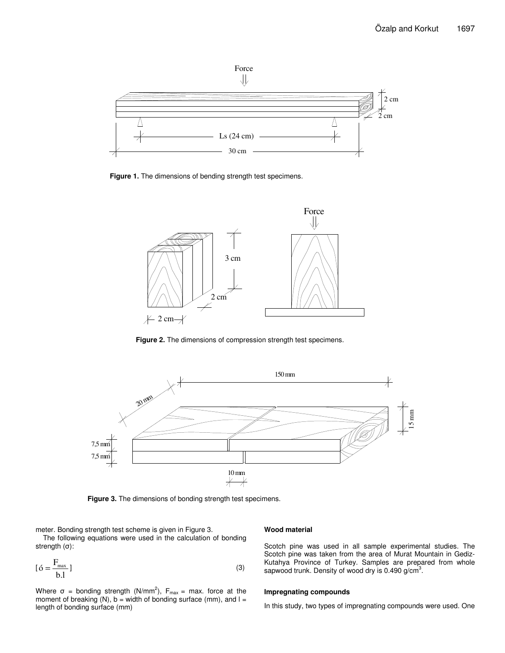

**Figure 1.** The dimensions of bending strength test specimens.



**Figure 2.** The dimensions of compression strength test specimens.



**Figure 3.** The dimensions of bonding strength test specimens.

meter. Bonding strength test scheme is given in Figure 3.

The following equations were used in the calculation of bonding strength  $(\sigma)$ :

$$
[\mathbf{6} = \frac{\mathbf{F}_{\text{max}}}{\mathbf{b}.\mathbf{l}}] \tag{3}
$$

Where  $\sigma$  = bonding strength (N/mm<sup>2</sup>),  $F_{\text{max}}$  = max. force at the moment of breaking  $(N)$ , b = width of bonding surface (mm), and  $I =$ length of bonding surface (mm)

## **Wood material**

Scotch pine was used in all sample experimental studies. The Scotch pine was taken from the area of Murat Mountain in Gediz-Kutahya Province of Turkey. Samples are prepared from whole sapwood trunk. Density of wood dry is 0.490 g/cm<sup>3</sup>.

### **Impregnating compounds**

In this study, two types of impregnating compounds were used. One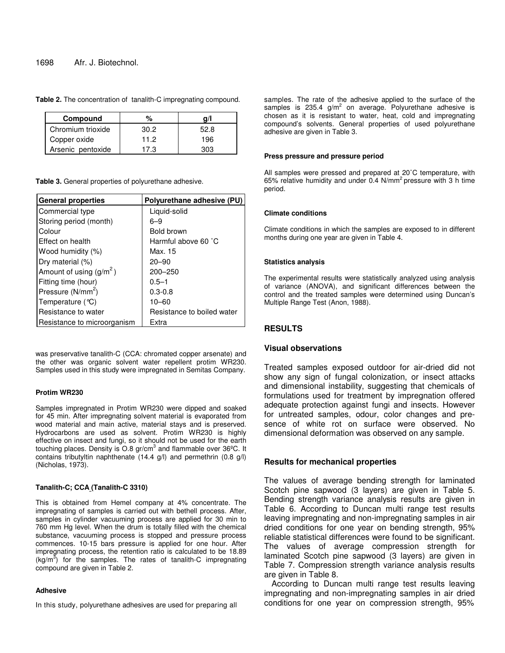## 1698 Afr. J. Biotechnol.

| Compound          | %    |      |
|-------------------|------|------|
| Chromium trioxide | 30.2 | 52.8 |
| Copper oxide      | 11.2 | 196  |
| Arsenic pentoxide | 17.3 | 303  |

**Table 2.** The concentration of tanalith-C impregnating compound.

**Table 3.** General properties of polyurethane adhesive.

| <b>General properties</b>     | Polyurethane adhesive (PU) |
|-------------------------------|----------------------------|
| Commercial type               | Liquid-solid               |
| Storing period (month)        | 6–9                        |
| Colour                        | Bold brown                 |
| Effect on health              | Harmful above 60 °C        |
| Wood humidity (%)             | Max. 15                    |
| Dry material (%)              | $20 - 90$                  |
| Amount of using $(g/m^2)$     | $200 - 250$                |
| Fitting time (hour)           | $0.5 - 1$                  |
| Pressure (N/mm <sup>2</sup> ) | $0.3 - 0.8$                |
| Temperature (°C)              | $10 - 60$                  |
| Resistance to water           | Resistance to boiled water |
| Resistance to microorganism   | Extra                      |

was preservative tanalith-C (CCA: chromated copper arsenate) and the other was organic solvent water repellent protim WR230. Samples used in this study were impregnated in Semitas Company.

#### **Protim WR230**

Samples impregnated in Protim WR230 were dipped and soaked for 45 min. After impregnating solvent material is evaporated from wood material and main active, material stays and is preserved. Hydrocarbons are used as solvent. Protim WR230 is highly effective on insect and fungi, so it should not be used for the earth touching places. Density is O.8 gr/cm<sup>3</sup> and flammable over 36°C. It contains tributyltin naphthenate (14.4 g/l) and permethrin (0.8 g/l) (Nicholas, 1973).

#### **Tanalith-C; CCA (Tanalith-C 3310)**

This is obtained from Hemel company at 4% concentrate. The impregnating of samples is carried out with bethell process. After, samples in cylinder vacuuming process are applied for 30 min to 760 mm Hg level. When the drum is totally filled with the chemical substance, vacuuming process is stopped and pressure process commences. 10-15 bars pressure is applied for one hour. After impregnating process, the retention ratio is calculated to be 18.89  $(kg/m<sup>3</sup>)$  for the samples. The rates of tanalith-C impregnating compound are given in Table 2.

#### **Adhesive**

In this study, polyurethane adhesives are used for preparing all

samples. The rate of the adhesive applied to the surface of the samples is 235.4  $g/m^2$  on average. Polyurethane adhesive is chosen as it is resistant to water, heat, cold and impregnating compound's solvents. General properties of used polyurethane adhesive are given in Table 3.

#### **Press pressure and pressure period**

All samples were pressed and prepared at 20˚C temperature, with 65% relative humidity and under  $0.4 \text{ N/mm}^2$  pressure with 3 h time period.

#### **Climate conditions**

Climate conditions in which the samples are exposed to in different months during one year are given in Table 4.

## **Statistics analysis**

The experimental results were statistically analyzed using analysis of variance (ANOVA), and significant differences between the control and the treated samples were determined using Duncan's Multiple Range Test (Anon, 1988).

# **RESULTS**

# **Visual observations**

Treated samples exposed outdoor for air-dried did not show any sign of fungal colonization, or insect attacks and dimensional instability, suggesting that chemicals of formulations used for treatment by impregnation offered adequate protection against fungi and insects. However for untreated samples, odour, color changes and presence of white rot on surface were observed. No dimensional deformation was observed on any sample.

# **Results for mechanical properties**

The values of average bending strength for laminated Scotch pine sapwood (3 layers) are given in Table 5. Bending strength variance analysis results are given in Table 6. According to Duncan multi range test results leaving impregnating and non-impregnating samples in air dried conditions for one year on bending strength, 95% reliable statistical differences were found to be significant. The values of average compression strength for laminated Scotch pine sapwood (3 layers) are given in Table 7. Compression strength variance analysis results are given in Table 8.

According to Duncan multi range test results leaving impregnating and non-impregnating samples in air dried conditions for one year on compression strength, 95%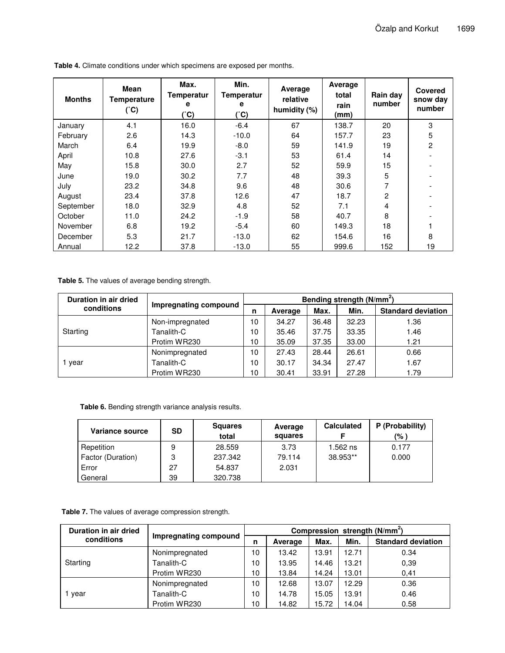| <b>Months</b> | Mean<br><b>Temperature</b><br>(°C) | Max.<br><b>Temperatur</b><br>е<br>(°C) | Min.<br><b>Temperatur</b><br>е<br>(°C) | Average<br>relative<br>humidity (%) | Average<br>total<br>rain<br>(mm) | Rain day<br>number | Covered<br>snow day<br>number |
|---------------|------------------------------------|----------------------------------------|----------------------------------------|-------------------------------------|----------------------------------|--------------------|-------------------------------|
| January       | 4.1                                | 16.0                                   | $-6.4$                                 | 67                                  | 138.7                            | 20                 | 3                             |
| February      | 2.6                                | 14.3                                   | $-10.0$                                | 64                                  | 157.7                            | 23                 | 5                             |
| March         | 6.4                                | 19.9                                   | $-8.0$                                 | 59                                  | 141.9                            | 19                 | $\overline{c}$                |
| April         | 10.8                               | 27.6                                   | $-3.1$                                 | 53                                  | 61.4                             | 14                 |                               |
| May           | 15.8                               | 30.0                                   | 2.7                                    | 52                                  | 59.9                             | 15                 | $\overline{\phantom{a}}$      |
| June          | 19.0                               | 30.2                                   | 7.7                                    | 48                                  | 39.3                             | 5                  | $\overline{\phantom{0}}$      |
| July          | 23.2                               | 34.8                                   | 9.6                                    | 48                                  | 30.6                             | 7                  |                               |
| August        | 23.4                               | 37.8                                   | 12.6                                   | 47                                  | 18.7                             | 2                  | $\overline{\phantom{a}}$      |
| September     | 18.0                               | 32.9                                   | 4.8                                    | 52                                  | 7.1                              | 4                  |                               |
| October       | 11.0                               | 24.2                                   | $-1.9$                                 | 58                                  | 40.7                             | 8                  |                               |
| November      | 6.8                                | 19.2                                   | $-5.4$                                 | 60                                  | 149.3                            | 18                 |                               |
| December      | 5.3                                | 21.7                                   | $-13.0$                                | 62                                  | 154.6                            | 16                 | 8                             |
| Annual        | 12.2                               | 37.8                                   | $-13.0$                                | 55                                  | 999.6                            | 152                | 19                            |

**Table 4.** Climate conditions under which specimens are exposed per months.

**Table 5.** The values of average bending strength.

| Duration in air dried | Impregnating compound | Bending strength (N/mm <sup>2</sup> ) |         |       |       |                           |  |
|-----------------------|-----------------------|---------------------------------------|---------|-------|-------|---------------------------|--|
| conditions            |                       | n                                     | Average | Max.  | Min.  | <b>Standard deviation</b> |  |
|                       | Non-impregnated       | 10                                    | 34.27   | 36.48 | 32.23 | 1.36                      |  |
| Starting              | Tanalith-C            | 10                                    | 35.46   | 37.75 | 33.35 | 1.46                      |  |
|                       | Protim WR230          | 10                                    | 35.09   | 37.35 | 33.00 | 1.21                      |  |
|                       | Nonimpregnated        | 10                                    | 27.43   | 28.44 | 26.61 | 0.66                      |  |
| 1 year                | Tanalith-C            | 10                                    | 30.17   | 34.34 | 27.47 | 1.67                      |  |
|                       | Protim WR230          | 10                                    | 30.41   | 33.91 | 27.28 | 1.79                      |  |

**Table 6.** Bending strength variance analysis results.

| <b>Variance source</b> | <b>SD</b> | <b>Squares</b><br>total | Average<br>squares | <b>Calculated</b> | P (Probability)<br>(% ' |
|------------------------|-----------|-------------------------|--------------------|-------------------|-------------------------|
| Repetition             | 9         | 28.559                  | 3.73               | $1.562$ ns        | 0.177                   |
| Factor (Duration)      | 3         | 237.342                 | 79.114             | 38.953**          | 0.000                   |
| Error                  | 27        | 54.837                  | 2.031              |                   |                         |
| General                | 39        | 320.738                 |                    |                   |                         |

**Table 7.** The values of average compression strength.

| Duration in air dried | Impregnating compound | Compression strength (N/mm <sup>2</sup> ) |         |       |       |                           |  |
|-----------------------|-----------------------|-------------------------------------------|---------|-------|-------|---------------------------|--|
| conditions            |                       | n                                         | Average | Max.  | Min.  | <b>Standard deviation</b> |  |
|                       | Nonimpregnated        | 10                                        | 13.42   | 13.91 | 12.71 | 0.34                      |  |
| Starting              | Tanalith-C            | 10                                        | 13.95   | 14.46 | 13.21 | 0.39                      |  |
|                       | Protim WR230          | 10                                        | 13.84   | 14.24 | 13.01 | 0,41                      |  |
|                       | Nonimpregnated        | 10                                        | 12.68   | 13.07 | 12.29 | 0.36                      |  |
| vear                  | Tanalith-C            | 10                                        | 14.78   | 15.05 | 13.91 | 0.46                      |  |
|                       | Protim WR230          | 10                                        | 14.82   | 15.72 | 14.04 | 0.58                      |  |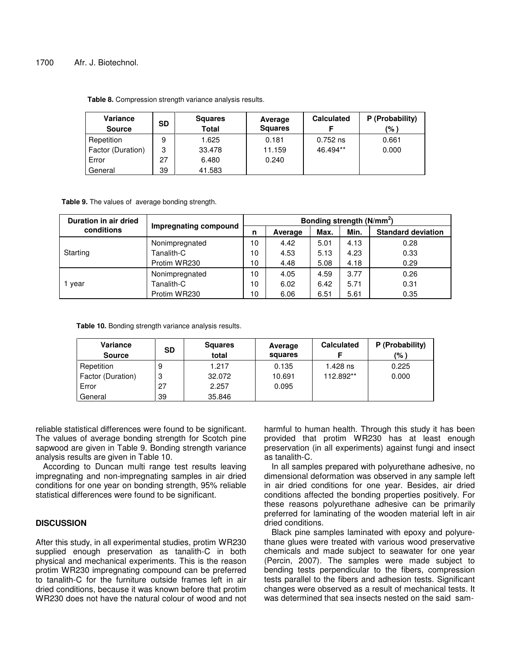# 1700 Afr. J. Biotechnol.

| Variance<br><b>Source</b> | <b>SD</b> | <b>Squares</b><br><b>Total</b> | Average<br><b>Squares</b> | <b>Calculated</b> | P (Probability)<br>(% ) |
|---------------------------|-----------|--------------------------------|---------------------------|-------------------|-------------------------|
| Repetition                | 9         | 1.625                          | 0.181                     | $0.752$ ns        | 0.661                   |
| Factor (Duration)         | 3         | 33.478                         | 11.159                    | 46.494**          | 0.000                   |
| Error                     | 27        | 6.480                          | 0.240                     |                   |                         |
| General                   | 39        | 41.583                         |                           |                   |                         |

**Table 8.** Compression strength variance analysis results.

**Table 9.** The values of average bonding strength.

| Duration in air dried | Impregnating compound | Bonding strength (N/mm <sup>2</sup> ) |         |      |      |                           |  |
|-----------------------|-----------------------|---------------------------------------|---------|------|------|---------------------------|--|
| conditions            |                       | n                                     | Average | Max. | Min. | <b>Standard deviation</b> |  |
|                       | Nonimpregnated        | 10                                    | 4.42    | 5.01 | 4.13 | 0.28                      |  |
| Starting              | Tanalith-C            | 10                                    | 4.53    | 5.13 | 4.23 | 0.33                      |  |
|                       | Protim WR230          | 10                                    | 4.48    | 5.08 | 4.18 | 0.29                      |  |
|                       | Nonimpregnated        | 10                                    | 4.05    | 4.59 | 3.77 | 0.26                      |  |
| vear                  | Tanalith-C            | 10                                    | 6.02    | 6.42 | 5.71 | 0.31                      |  |
|                       | Protim WR230          | 10                                    | 6.06    | 6.51 | 5.61 | 0.35                      |  |

**Table 10.** Bonding strength variance analysis results.

| Variance<br><b>Source</b> | SD | <b>Squares</b><br>total | Average<br>squares | <b>Calculated</b> | P (Probability)<br>(% ) |
|---------------------------|----|-------------------------|--------------------|-------------------|-------------------------|
| Repetition                | 9  | 1.217                   | 0.135              | 1.428 ns          | 0.225                   |
| Factor (Duration)         | 3  | 32.072                  | 10.691             | 112.892**         | 0.000                   |
| Error                     | 27 | 2.257                   | 0.095              |                   |                         |
| General                   | 39 | 35.846                  |                    |                   |                         |

reliable statistical differences were found to be significant. The values of average bonding strength for Scotch pine sapwood are given in Table 9. Bonding strength variance analysis results are given in Table 10.

According to Duncan multi range test results leaving impregnating and non-impregnating samples in air dried conditions for one year on bonding strength, 95% reliable statistical differences were found to be significant.

# **DISCUSSION**

After this study, in all experimental studies, protim WR230 supplied enough preservation as tanalith-C in both physical and mechanical experiments. This is the reason protim WR230 impregnating compound can be preferred to tanalith-C for the furniture outside frames left in air dried conditions, because it was known before that protim WR230 does not have the natural colour of wood and not

harmful to human health. Through this study it has been provided that protim WR230 has at least enough preservation (in all experiments) against fungi and insect as tanalith-C.

In all samples prepared with polyurethane adhesive, no dimensional deformation was observed in any sample left in air dried conditions for one year. Besides, air dried conditions affected the bonding properties positively. For these reasons polyurethane adhesive can be primarily preferred for laminating of the wooden material left in air dried conditions.

Black pine samples laminated with epoxy and polyurethane glues were treated with various wood preservative chemicals and made subject to seawater for one year (Percin, 2007). The samples were made subject to bending tests perpendicular to the fibers, compression tests parallel to the fibers and adhesion tests. Significant changes were observed as a result of mechanical tests. It was determined that sea insects nested on the said sam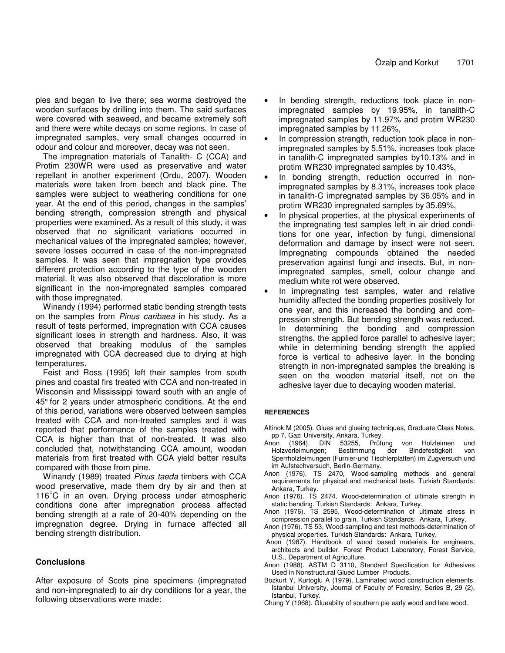ples and began to live there; sea worms destroyed the wooden surfaces by drilling into them. The said surfaces were covered with seaweed, and became extremely soft and there were white decays on some regions. In case of impregnated samples, very small changes occurred in odour and colour and moreover, decay was not seen.

The impregnation materials of Tanalith- C (CCA) and Protim 230WR were used as preservative and water repellant in another experiment (Ordu, 2007). Wooden materials were taken from beech and black pine. The samples were subject to weathering conditions for one year. At the end of this period, changes in the samples' bending strength, compression strength and physical properties were examined. As a result of this study, it was observed that no significant variations occurred in mechanical values of the impregnated samples; however, severe losses occurred in case of the non-impregnated samples. It was seen that impregnation type provides different protection according to the type of the wooden material. It was also observed that discoloration is more significant in the non-impregnated samples compared with those impregnated.

Winandy (1994) performed static bending strength tests on the samples from *Pinus caribaea* in his study. As a result of tests performed, impregnation with CCA causes significant loses in strength and hardness. Also, it was observed that breaking modulus of the samples impregnated with CCA decreased due to drying at high temperatures.

Feist and Ross (1995) left their samples from south pines and coastal firs treated with CCA and non-treated in Wisconsin and Mississippi toward south with an angle of 45° for 2 years under atmospheric conditions. At the end of this period, variations were observed between samples treated with CCA and non-treated samples and it was reported that performance of the samples treated with CCA is higher than that of non-treated. It was also concluded that, notwithstanding CCA amount, wooden materials from first treated with CCA yield better results compared with those from pine.

Winandy (1989) treated *Pinus taeda* timbers with CCA wood preservative, made them dry by air and then at 116 -C in an oven. Drying process under atmospheric conditions done after impregnation process affected bending strength at a rate of 20-40% depending on the impregnation degree. Drying in furnace affected all bending strength distribution.

# **Conclusions**

After exposure of Scots pine specimens (impregnated and non-impregnated) to air dry conditions for a year, the following observations were made:

- In bending strength, reductions took place in nonimpregnated samples by 19.95%, in tanalith-C impregnated samples by 11.97% and protim WR230 impregnated samples by 11.26%,
- In compression strength, reduction took place in nonimpregnated samples by 5.51%, increases took place in tanalith-C impregnated samples by10.13% and in protim WR230 impregnated samples by 10.43%,
- In bonding strength, reduction occurred in nonimpregnated samples by 8.31%, increases took place in tanalith-C impregnated samples by 36.05% and in protim WR230 impregnated samples by 35.69%,
- In physical properties, at the physical experiments of the impregnating test samples left in air dried conditions for one year, infection by fungi, dimensional deformation and damage by insect were not seen. Impregnating compounds obtained the needed preservation against fungi and insects. But, in nonimpregnated samples, smell, colour change and medium white rot were observed.
- In impregnating test samples, water and relative humidity affected the bonding properties positively for one year, and this increased the bonding and compression strength. But bending strength was reduced. In determining the bonding and compression strengths, the applied force parallel to adhesive layer; while in determining bending strength the applied force is vertical to adhesive layer. In the bonding strength in non-impregnated samples the breaking is seen on the wooden material itself, not on the adhesive layer due to decaying wooden material.

# **REFERENCES**

- Altinok M (2005). Glues and glueing techniques, Graduate Class Notes, pp 7, Gazi University, Ankara, Turkey.
- Anon (1964). DIN 53255, Prüfung von Holzleimen und Holzverleimungen; Bestimmung der Bindefestigkeit von Sperrholzleimungen (Furnier-und Tischlerplatten) im Zugversuch und im Aufstechversuch, Berlin-Germany.
- Anon (1976). TS 2470, Wood-sampling methods and general requirements for physical and mechanical tests. Turkish Standards: Ankara, Turkey.
- Anon (1976). TS 2474, Wood-determination of ultimate strength in static bending. Turkish Standards: Ankara, Turkey.
- Anon (1976). TS 2595, Wood-determination of ultimate stress in compression parallel to grain. Turkish Standards: Ankara, Turkey.
- Anon (1976). TS 53, Wood-sampling and test methods-determination of physical properties. Turkish Standards: Ankara, Turkey.
- Anon (1987). Handbook of wood based materials for engineers, architects and builder. Forest Product Laboratory, Forest Service, U.S., Department of Agriculture.
- Anon (1988). ASTM D 3110, Standard Specification for Adhesives Used in Nonstructural Glued Lumber Products.
- Bozkurt Y, Kurtoglu A (1979). Laminated wood construction elements. Istanbul University, Journal of Faculty of Forestry, Series B, 29 (2), Istanbul, Turkey.
- Chung Y (1968). Glueabilty of southern pie early wood and late wood.